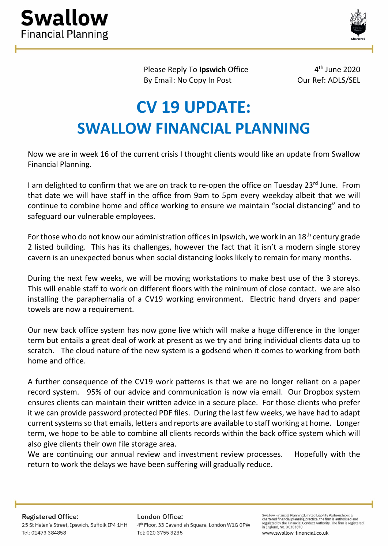



Please Reply To **Ipswich** Office 4<sup>th</sup> June 2020 By Email: No Copy In Post **Our Ref: ADLS/SEL** 

## **CV 19 UPDATE: SWALLOW FINANCIAL PLANNING**

Now we are in week 16 of the current crisis I thought clients would like an update from Swallow Financial Planning.

I am delighted to confirm that we are on track to re-open the office on Tuesday 23rd June. From that date we will have staff in the office from 9am to 5pm every weekday albeit that we will continue to combine home and office working to ensure we maintain "social distancing" and to safeguard our vulnerable employees.

For those who do not know our administration offices in Ipswich, we work in an 18<sup>th</sup> century grade 2 listed building. This has its challenges, however the fact that it isn't a modern single storey cavern is an unexpected bonus when social distancing looks likely to remain for many months.

During the next few weeks, we will be moving workstations to make best use of the 3 storeys. This will enable staff to work on different floors with the minimum of close contact. we are also installing the paraphernalia of a CV19 working environment. Electric hand dryers and paper towels are now a requirement.

Our new back office system has now gone live which will make a huge difference in the longer term but entails a great deal of work at present as we try and bring individual clients data up to scratch. The cloud nature of the new system is a godsend when it comes to working from both home and office.

A further consequence of the CV19 work patterns is that we are no longer reliant on a paper record system. 95% of our advice and communication is now via email. Our Dropbox system ensures clients can maintain their written advice in a secure place. For those clients who prefer it we can provide password protected PDF files. During the last few weeks, we have had to adapt current systems so that emails, letters and reports are available to staff working at home. Longer term, we hope to be able to combine all clients records within the back office system which will also give clients their own file storage area.

We are continuing our annual review and investment review processes. Hopefully with the return to work the delays we have been suffering will gradually reduce.